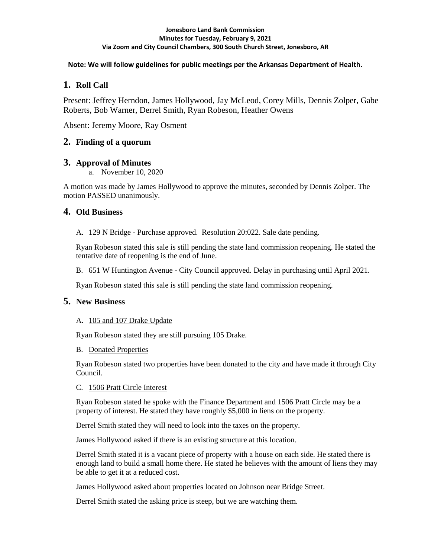#### **Jonesboro Land Bank Commission Minutes for Tuesday, February 9, 2021 Via Zoom and City Council Chambers, 300 South Church Street, Jonesboro, AR**

### **Note: We will follow guidelines for public meetings per the Arkansas Department of Health.**

# **1. Roll Call**

Present: Jeffrey Herndon, James Hollywood, Jay McLeod, Corey Mills, Dennis Zolper, Gabe Roberts, Bob Warner, Derrel Smith, Ryan Robeson, Heather Owens

Absent: Jeremy Moore, Ray Osment

## **2. Finding of a quorum**

## **3. Approval of Minutes**

a. November 10, 2020

A motion was made by James Hollywood to approve the minutes, seconded by Dennis Zolper. The motion PASSED unanimously.

## **4. Old Business**

#### A. 129 N Bridge - Purchase approved. Resolution 20:022. Sale date pending.

Ryan Robeson stated this sale is still pending the state land commission reopening. He stated the tentative date of reopening is the end of June.

#### B. 651 W Huntington Avenue - City Council approved. Delay in purchasing until April 2021.

Ryan Robeson stated this sale is still pending the state land commission reopening.

### **5. New Business**

### A. 105 and 107 Drake Update

Ryan Robeson stated they are still pursuing 105 Drake.

### B. Donated Properties

Ryan Robeson stated two properties have been donated to the city and have made it through City Council.

### C. 1506 Pratt Circle Interest

Ryan Robeson stated he spoke with the Finance Department and 1506 Pratt Circle may be a property of interest. He stated they have roughly \$5,000 in liens on the property.

Derrel Smith stated they will need to look into the taxes on the property.

James Hollywood asked if there is an existing structure at this location.

Derrel Smith stated it is a vacant piece of property with a house on each side. He stated there is enough land to build a small home there. He stated he believes with the amount of liens they may be able to get it at a reduced cost.

James Hollywood asked about properties located on Johnson near Bridge Street.

Derrel Smith stated the asking price is steep, but we are watching them.